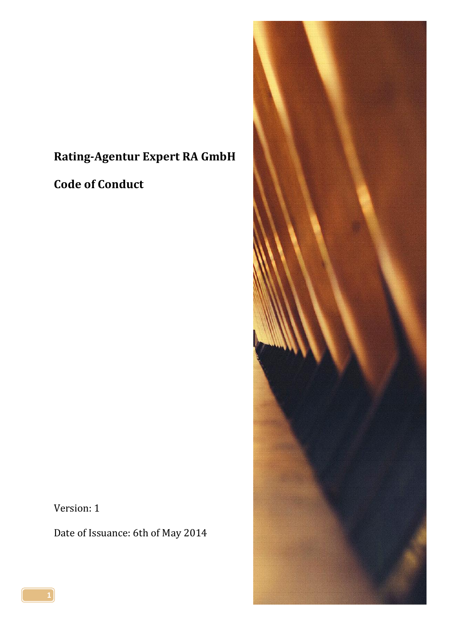# **Rating-Agentur Expert RA GmbH**

**Code of Conduct**

Version: 1

Date of Issuance: 6th of May 2014

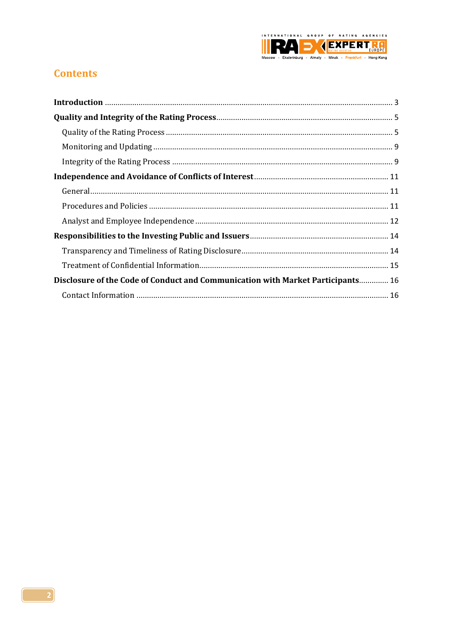

## **Contents**

| Disclosure of the Code of Conduct and Communication with Market Participants 16 |
|---------------------------------------------------------------------------------|
|                                                                                 |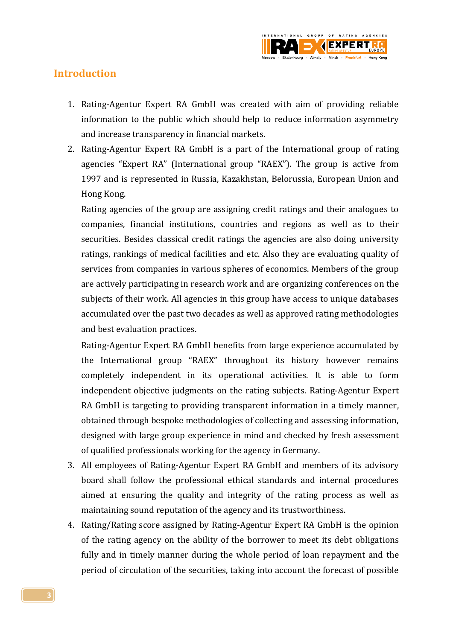

## <span id="page-2-0"></span>**Introduction**

- 1. Rating-Agentur Expert RA GmbH was created with aim of providing reliable information to the public which should help to reduce information asymmetry and increase transparency in financial markets.
- 2. Rating-Agentur Expert RA GmbH is a part of the International group of rating agencies "Expert RA" (International group "RAEX"). The group is active from 1997 and is represented in Russia, Kazakhstan, Belorussia, European Union and Hong Kong.

Rating agencies of the group are assigning credit ratings and their analogues to companies, financial institutions, countries and regions as well as to their securities. Besides classical credit ratings the agencies are also doing university ratings, rankings of medical facilities and etc. Also they are evaluating quality of services from companies in various spheres of economics. Members of the group are actively participating in research work and are organizing conferences on the subjects of their work. All agencies in this group have access to unique databases accumulated over the past two decades as well as approved rating methodologies and best evaluation practices.

Rating-Agentur Expert RA GmbH benefits from large experience accumulated by the International group "RAEX" throughout its history however remains completely independent in its operational activities. It is able to form independent objective judgments on the rating subjects. Rating-Agentur Expert RA GmbH is targeting to providing transparent information in a timely manner, obtained through bespoke methodologies of collecting and assessing information, designed with large group experience in mind and checked by fresh assessment of qualified professionals working for the agency in Germany.

- 3. All employees of Rating-Agentur Expert RA GmbH and members of its advisory board shall follow the professional ethical standards and internal procedures aimed at ensuring the quality and integrity of the rating process as well as maintaining sound reputation of the agency and its trustworthiness.
- 4. Rating/Rating score assigned by Rating-Agentur Expert RA GmbH is the opinion of the rating agency on the ability of the borrower to meet its debt obligations fully and in timely manner during the whole period of loan repayment and the period of circulation of the securities, taking into account the forecast of possible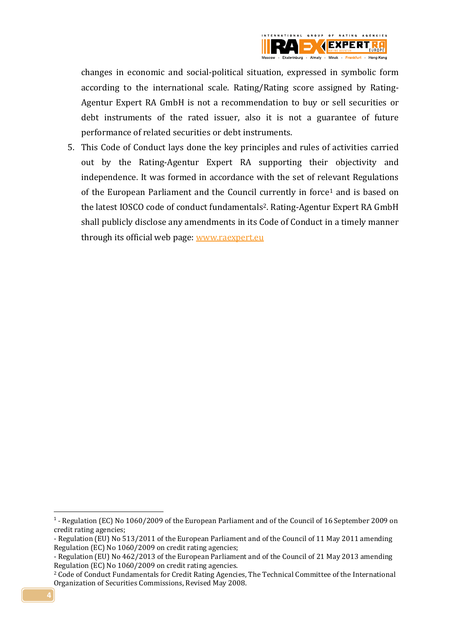

changes in economic and social-political situation, expressed in symbolic form according to the international scale. Rating/Rating score assigned by Rating-Agentur Expert RA GmbH is not a recommendation to buy or sell securities or debt instruments of the rated issuer, also it is not a guarantee of future performance of related securities or debt instruments.

5. This Code of Conduct lays done the key principles and rules of activities carried out by the Rating-Agentur Expert RA supporting their objectivity and independence. It was formed in accordance with the set of relevant Regulations of the European Parliament and the Council currently in force<sup>1</sup> and is based on the latest IOSCO code of conduct fundamentals2. Rating-Agentur Expert RA GmbH shall publicly disclose any amendments in its Code of Conduct in a timely manner through its official web page[: www.raexpert.eu](http://www.raexpert.eu/)

**.** 

<sup>&</sup>lt;sup>1</sup> - Regulation (EC) No 1060/2009 of the European Parliament and of the Council of 16 September 2009 on credit rating agencies;

<sup>-</sup> Regulation (EU) No 513/2011 of the European Parliament and of the Council of 11 May 2011 amending Regulation (EC) No 1060/2009 on credit rating agencies;

<sup>-</sup> Regulation (EU) No 462/2013 of the European Parliament and of the Council of 21 May 2013 amending Regulation (EC) No 1060/2009 on credit rating agencies.

<sup>2</sup> Code of Conduct Fundamentals for Credit Rating Agencies, The Technical Committee of the International Organization of Securities Commissions, Revised May 2008.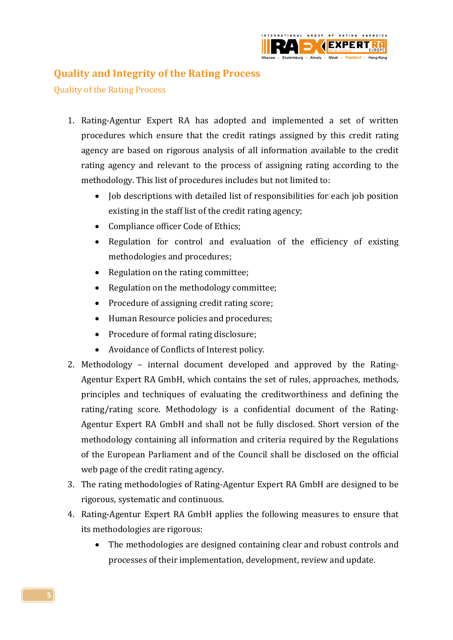

## <span id="page-4-0"></span>**Quality and Integrity of the Rating Process**

<span id="page-4-1"></span>Quality of the Rating Process

- 1. Rating-Agentur Expert RA has adopted and implemented a set of written procedures which ensure that the credit ratings assigned by this credit rating agency are based on rigorous analysis of all information available to the credit rating agency and relevant to the process of assigning rating according to the methodology. This list of procedures includes but not limited to:
	- Job descriptions with detailed list of responsibilities for each job position existing in the staff list of the credit rating agency;
	- Compliance officer Code of Ethics;
	- Regulation for control and evaluation of the efficiency of existing methodologies and procedures;
	- Regulation on the rating committee;
	- Regulation on the methodology committee;
	- Procedure of assigning credit rating score;
	- Human Resource policies and procedures;
	- Procedure of formal rating disclosure;
	- Avoidance of Conflicts of Interest policy.
- 2. Methodology internal document developed and approved by the Rating-Agentur Expert RA GmbH, which contains the set of rules, approaches, methods, principles and techniques of evaluating the creditworthiness and defining the rating/rating score. Methodology is a confidential document of the Rating-Agentur Expert RA GmbH and shall not be fully disclosed. Short version of the methodology containing all information and criteria required by the Regulations of the European Parliament and of the Council shall be disclosed on the official web page of the credit rating agency.
- 3. The rating methodologies of Rating-Agentur Expert RA GmbH are designed to be rigorous, systematic and continuous.
- 4. Rating-Agentur Expert RA GmbH applies the following measures to ensure that its methodologies are rigorous:
	- The methodologies are designed containing clear and robust controls and processes of their implementation, development, review and update.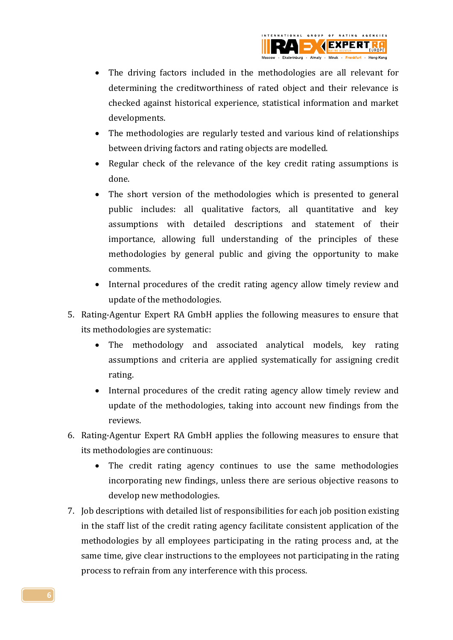

- The driving factors included in the methodologies are all relevant for determining the creditworthiness of rated object and their relevance is checked against historical experience, statistical information and market developments.
- The methodologies are regularly tested and various kind of relationships between driving factors and rating objects are modelled.
- Regular check of the relevance of the key credit rating assumptions is done.
- The short version of the methodologies which is presented to general public includes: all qualitative factors, all quantitative and key assumptions with detailed descriptions and statement of their importance, allowing full understanding of the principles of these methodologies by general public and giving the opportunity to make comments.
- Internal procedures of the credit rating agency allow timely review and update of the methodologies.
- 5. Rating-Agentur Expert RA GmbH applies the following measures to ensure that its methodologies are systematic:
	- The methodology and associated analytical models, key rating assumptions and criteria are applied systematically for assigning credit rating.
	- Internal procedures of the credit rating agency allow timely review and update of the methodologies, taking into account new findings from the reviews.
- 6. Rating-Agentur Expert RA GmbH applies the following measures to ensure that its methodologies are continuous:
	- The credit rating agency continues to use the same methodologies incorporating new findings, unless there are serious objective reasons to develop new methodologies.
- 7. Job descriptions with detailed list of responsibilities for each job position existing in the staff list of the credit rating agency facilitate consistent application of the methodologies by all employees participating in the rating process and, at the same time, give clear instructions to the employees not participating in the rating process to refrain from any interference with this process.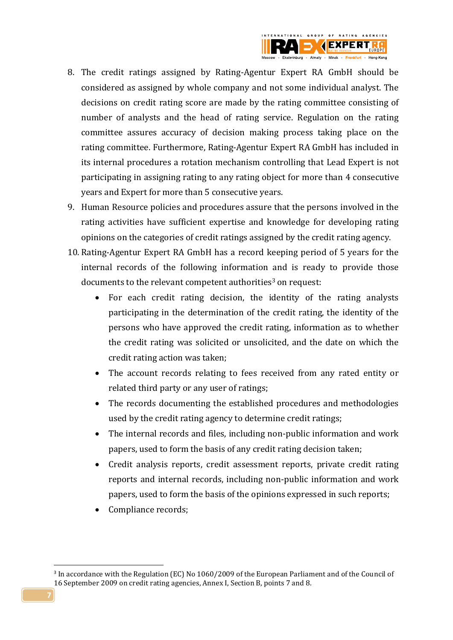

- 8. The credit ratings assigned by Rating-Agentur Expert RA GmbH should be considered as assigned by whole company and not some individual analyst. The decisions on credit rating score are made by the rating committee consisting of number of analysts and the head of rating service. Regulation on the rating committee assures accuracy of decision making process taking place on the rating committee. Furthermore, Rating-Agentur Expert RA GmbH has included in its internal procedures a rotation mechanism controlling that Lead Expert is not participating in assigning rating to any rating object for more than 4 consecutive years and Expert for more than 5 consecutive years.
- 9. Human Resource policies and procedures assure that the persons involved in the rating activities have sufficient expertise and knowledge for developing rating opinions on the categories of credit ratings assigned by the credit rating agency.
- 10. Rating-Agentur Expert RA GmbH has a record keeping period of 5 years for the internal records of the following information and is ready to provide those documents to the relevant competent authorities<sup>3</sup> on request:
	- For each credit rating decision, the identity of the rating analysts participating in the determination of the credit rating, the identity of the persons who have approved the credit rating, information as to whether the credit rating was solicited or unsolicited, and the date on which the credit rating action was taken;
	- The account records relating to fees received from any rated entity or related third party or any user of ratings;
	- The records documenting the established procedures and methodologies used by the credit rating agency to determine credit ratings;
	- The internal records and files, including non-public information and work papers, used to form the basis of any credit rating decision taken;
	- Credit analysis reports, credit assessment reports, private credit rating reports and internal records, including non-public information and work papers, used to form the basis of the opinions expressed in such reports;
	- Compliance records;

1

<sup>&</sup>lt;sup>3</sup> In accordance with the Regulation (EC) No 1060/2009 of the European Parliament and of the Council of 16 September 2009 on credit rating agencies, Annex I, Section B, points 7 and 8.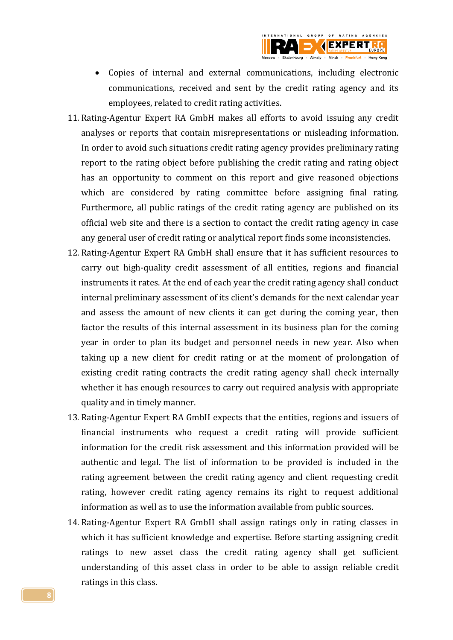

- Copies of internal and external communications, including electronic communications, received and sent by the credit rating agency and its employees, related to credit rating activities.
- 11. Rating-Agentur Expert RA GmbH makes all efforts to avoid issuing any credit analyses or reports that contain misrepresentations or misleading information. In order to avoid such situations credit rating agency provides preliminary rating report to the rating object before publishing the credit rating and rating object has an opportunity to comment on this report and give reasoned objections which are considered by rating committee before assigning final rating. Furthermore, all public ratings of the credit rating agency are published on its official web site and there is a section to contact the credit rating agency in case any general user of credit rating or analytical report finds some inconsistencies.
- 12. Rating-Agentur Expert RA GmbH shall ensure that it has sufficient resources to carry out high-quality credit assessment of all entities, regions and financial instruments it rates. At the end of each year the credit rating agency shall conduct internal preliminary assessment of its client's demands for the next calendar year and assess the amount of new clients it can get during the coming year, then factor the results of this internal assessment in its business plan for the coming year in order to plan its budget and personnel needs in new year. Also when taking up a new client for credit rating or at the moment of prolongation of existing credit rating contracts the credit rating agency shall check internally whether it has enough resources to carry out required analysis with appropriate quality and in timely manner.
- 13. Rating-Agentur Expert RA GmbH expects that the entities, regions and issuers of financial instruments who request a credit rating will provide sufficient information for the credit risk assessment and this information provided will be authentic and legal. The list of information to be provided is included in the rating agreement between the credit rating agency and client requesting credit rating, however credit rating agency remains its right to request additional information as well as to use the information available from public sources.
- 14. Rating-Agentur Expert RA GmbH shall assign ratings only in rating classes in which it has sufficient knowledge and expertise. Before starting assigning credit ratings to new asset class the credit rating agency shall get sufficient understanding of this asset class in order to be able to assign reliable credit ratings in this class.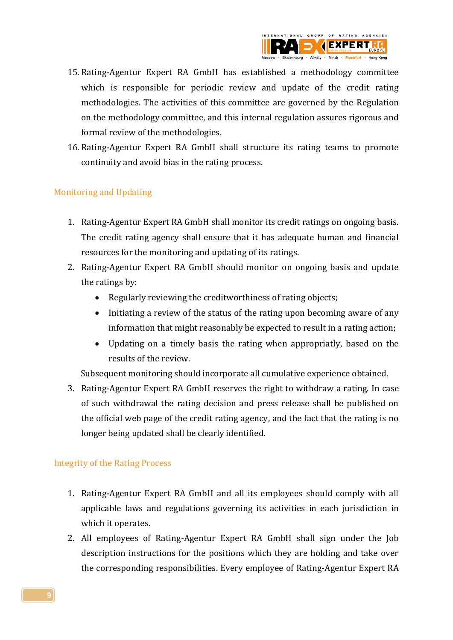

- 15. Rating-Agentur Expert RA GmbH has established a methodology committee which is responsible for periodic review and update of the credit rating methodologies. The activities of this committee are governed by the Regulation on the methodology committee, and this internal regulation assures rigorous and formal review of the methodologies.
- 16. Rating-Agentur Expert RA GmbH shall structure its rating teams to promote continuity and avoid bias in the rating process.

### <span id="page-8-0"></span>Monitoring and Updating

- 1. Rating-Agentur Expert RA GmbH shall monitor its credit ratings on ongoing basis. The credit rating agency shall ensure that it has adequate human and financial resources for the monitoring and updating of its ratings.
- 2. Rating-Agentur Expert RA GmbH should monitor on ongoing basis and update the ratings by:
	- Regularly reviewing the creditworthiness of rating objects;
	- Initiating a review of the status of the rating upon becoming aware of any information that might reasonably be expected to result in a rating action;
	- Updating on a timely basis the rating when appropriatly, based on the results of the review.

Subsequent monitoring should incorporate all cumulative experience obtained.

3. Rating-Agentur Expert RA GmbH reserves the right to withdraw a rating. In case of such withdrawal the rating decision and press release shall be published on the official web page of the credit rating agency, and the fact that the rating is no longer being updated shall be clearly identified.

### <span id="page-8-1"></span>Integrity of the Rating Process

- 1. Rating-Agentur Expert RA GmbH and all its employees should comply with all applicable laws and regulations governing its activities in each jurisdiction in which it operates.
- 2. All employees of Rating-Agentur Expert RA GmbH shall sign under the Job description instructions for the positions which they are holding and take over the corresponding responsibilities. Every employee of Rating-Agentur Expert RA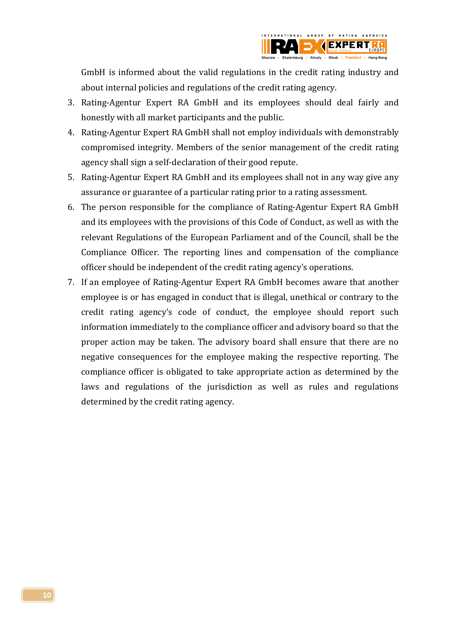

GmbH is informed about the valid regulations in the credit rating industry and about internal policies and regulations of the credit rating agency.

- 3. Rating-Agentur Expert RA GmbH and its employees should deal fairly and honestly with all market participants and the public.
- 4. Rating-Agentur Expert RA GmbH shall not employ individuals with demonstrably compromised integrity. Members of the senior management of the credit rating agency shall sign a self-declaration of their good repute.
- 5. Rating-Agentur Expert RA GmbH and its employees shall not in any way give any assurance or guarantee of a particular rating prior to a rating assessment.
- 6. The person responsible for the compliance of Rating-Agentur Expert RA GmbH and its employees with the provisions of this Code of Conduct, as well as with the relevant Regulations of the European Parliament and of the Council, shall be the Compliance Officer. The reporting lines and compensation of the compliance officer should be independent of the credit rating agency's operations.
- 7. If an employee of Rating-Agentur Expert RA GmbH becomes aware that another employee is or has engaged in conduct that is illegal, unethical or contrary to the credit rating agency's code of conduct, the employee should report such information immediately to the compliance officer and advisory board so that the proper action may be taken. The advisory board shall ensure that there are no negative consequences for the employee making the respective reporting. The compliance officer is obligated to take appropriate action as determined by the laws and regulations of the jurisdiction as well as rules and regulations determined by the credit rating agency.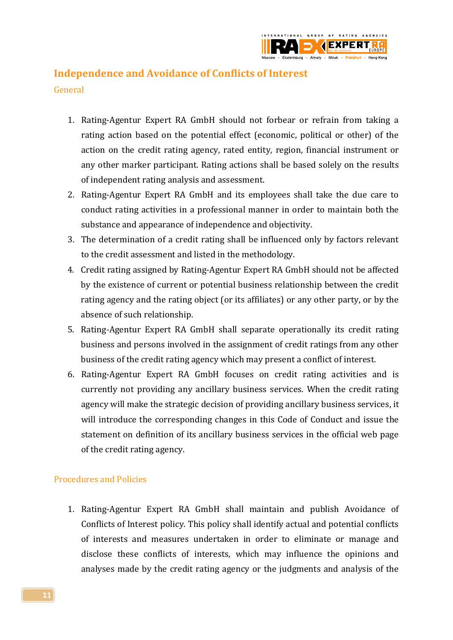

## <span id="page-10-0"></span>**Independence and Avoidance of Conflicts of Interest**

<span id="page-10-1"></span>General

- 1. Rating-Agentur Expert RA GmbH should not forbear or refrain from taking a rating action based on the potential effect (economic, political or other) of the action on the credit rating agency, rated entity, region, financial instrument or any other marker participant. Rating actions shall be based solely on the results of independent rating analysis and assessment.
- 2. Rating-Agentur Expert RA GmbH and its employees shall take the due care to conduct rating activities in a professional manner in order to maintain both the substance and appearance of independence and objectivity.
- 3. The determination of a credit rating shall be influenced only by factors relevant to the credit assessment and listed in the methodology.
- 4. Credit rating assigned by Rating-Agentur Expert RA GmbH should not be affected by the existence of current or potential business relationship between the credit rating agency and the rating object (or its affiliates) or any other party, or by the absence of such relationship.
- 5. Rating-Agentur Expert RA GmbH shall separate operationally its credit rating business and persons involved in the assignment of credit ratings from any other business of the credit rating agency which may present a conflict of interest.
- 6. Rating-Agentur Expert RA GmbH focuses on credit rating activities and is currently not providing any ancillary business services. When the credit rating agency will make the strategic decision of providing ancillary business services, it will introduce the corresponding changes in this Code of Conduct and issue the statement on definition of its ancillary business services in the official web page of the credit rating agency.

## <span id="page-10-2"></span>Procedures and Policies

1. Rating-Agentur Expert RA GmbH shall maintain and publish Avoidance of Conflicts of Interest policy. This policy shall identify actual and potential conflicts of interests and measures undertaken in order to eliminate or manage and disclose these conflicts of interests, which may influence the opinions and analyses made by the credit rating agency or the judgments and analysis of the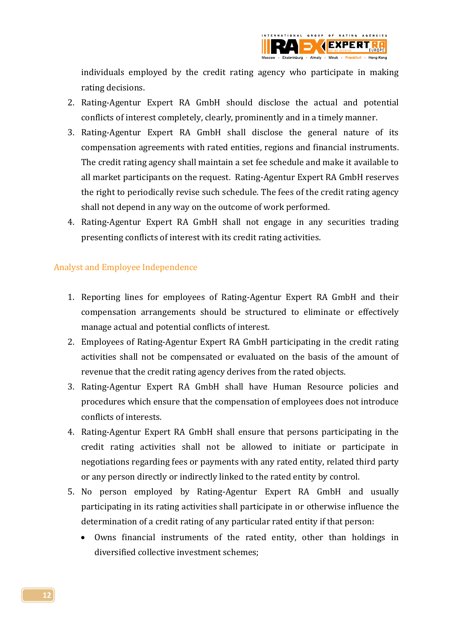

individuals employed by the credit rating agency who participate in making rating decisions.

- 2. Rating-Agentur Expert RA GmbH should disclose the actual and potential conflicts of interest completely, clearly, prominently and in a timely manner.
- 3. Rating-Agentur Expert RA GmbH shall disclose the general nature of its compensation agreements with rated entities, regions and financial instruments. The credit rating agency shall maintain a set fee schedule and make it available to all market participants on the request. Rating-Agentur Expert RA GmbH reserves the right to periodically revise such schedule. The fees of the credit rating agency shall not depend in any way on the outcome of work performed.
- 4. Rating-Agentur Expert RA GmbH shall not engage in any securities trading presenting conflicts of interest with its credit rating activities.

### <span id="page-11-0"></span>Analyst and Employee Independence

- 1. Reporting lines for employees of Rating-Agentur Expert RA GmbH and their compensation arrangements should be structured to eliminate or effectively manage actual and potential conflicts of interest.
- 2. Employees of Rating-Agentur Expert RA GmbH participating in the credit rating activities shall not be compensated or evaluated on the basis of the amount of revenue that the credit rating agency derives from the rated objects.
- 3. Rating-Agentur Expert RA GmbH shall have Human Resource policies and procedures which ensure that the compensation of employees does not introduce conflicts of interests.
- 4. Rating-Agentur Expert RA GmbH shall ensure that persons participating in the credit rating activities shall not be allowed to initiate or participate in negotiations regarding fees or payments with any rated entity, related third party or any person directly or indirectly linked to the rated entity by control.
- 5. No person employed by Rating-Agentur Expert RA GmbH and usually participating in its rating activities shall participate in or otherwise influence the determination of a credit rating of any particular rated entity if that person:
	- Owns financial instruments of the rated entity, other than holdings in diversified collective investment schemes;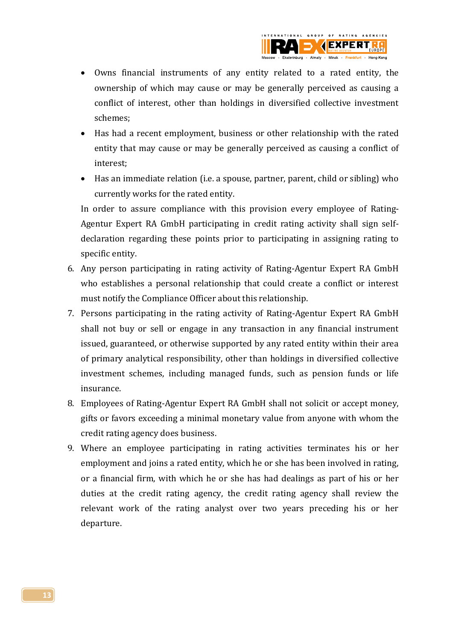

- Owns financial instruments of any entity related to a rated entity, the ownership of which may cause or may be generally perceived as causing a conflict of interest, other than holdings in diversified collective investment schemes;
- Has had a recent employment, business or other relationship with the rated entity that may cause or may be generally perceived as causing a conflict of interest;
- Has an immediate relation (i.e. a spouse, partner, parent, child or sibling) who currently works for the rated entity.

In order to assure compliance with this provision every employee of Rating-Agentur Expert RA GmbH participating in credit rating activity shall sign selfdeclaration regarding these points prior to participating in assigning rating to specific entity.

- 6. Any person participating in rating activity of Rating-Agentur Expert RA GmbH who establishes a personal relationship that could create a conflict or interest must notify the Compliance Officer about this relationship.
- 7. Persons participating in the rating activity of Rating-Agentur Expert RA GmbH shall not buy or sell or engage in any transaction in any financial instrument issued, guaranteed, or otherwise supported by any rated entity within their area of primary analytical responsibility, other than holdings in diversified collective investment schemes, including managed funds, such as pension funds or life insurance.
- 8. Employees of Rating-Agentur Expert RA GmbH shall not solicit or accept money, gifts or favors exceeding a minimal monetary value from anyone with whom the credit rating agency does business.
- 9. Where an employee participating in rating activities terminates his or her employment and joins a rated entity, which he or she has been involved in rating, or a financial firm, with which he or she has had dealings as part of his or her duties at the credit rating agency, the credit rating agency shall review the relevant work of the rating analyst over two years preceding his or her departure.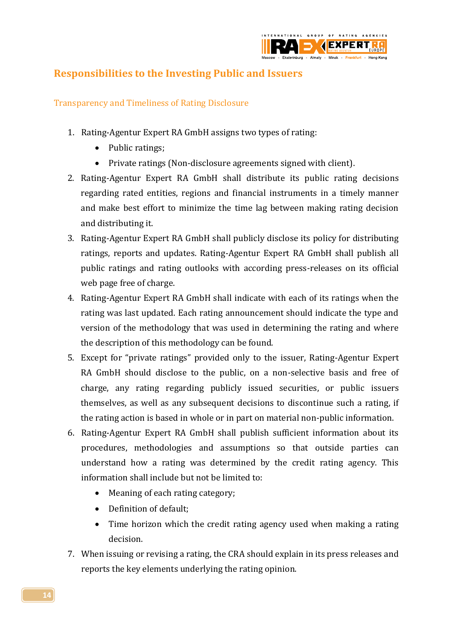

## <span id="page-13-0"></span>**Responsibilities to the Investing Public and Issuers**

<span id="page-13-1"></span>Transparency and Timeliness of Rating Disclosure

- 1. Rating-Agentur Expert RA GmbH assigns two types of rating:
	- Public ratings;
	- Private ratings (Non-disclosure agreements signed with client).
- 2. Rating-Agentur Expert RA GmbH shall distribute its public rating decisions regarding rated entities, regions and financial instruments in a timely manner and make best effort to minimize the time lag between making rating decision and distributing it.
- 3. Rating-Agentur Expert RA GmbH shall publicly disclose its policy for distributing ratings, reports and updates. Rating-Agentur Expert RA GmbH shall publish all public ratings and rating outlooks with according press-releases on its official web page free of charge.
- 4. Rating-Agentur Expert RA GmbH shall indicate with each of its ratings when the rating was last updated. Each rating announcement should indicate the type and version of the methodology that was used in determining the rating and where the description of this methodology can be found.
- 5. Except for "private ratings" provided only to the issuer, Rating-Agentur Expert RA GmbH should disclose to the public, on a non-selective basis and free of charge, any rating regarding publicly issued securities, or public issuers themselves, as well as any subsequent decisions to discontinue such a rating, if the rating action is based in whole or in part on material non-public information.
- 6. Rating-Agentur Expert RA GmbH shall publish sufficient information about its procedures, methodologies and assumptions so that outside parties can understand how a rating was determined by the credit rating agency. This information shall include but not be limited to:
	- Meaning of each rating category;
	- Definition of default:
	- Time horizon which the credit rating agency used when making a rating decision.
- 7. When issuing or revising a rating, the CRA should explain in its press releases and reports the key elements underlying the rating opinion.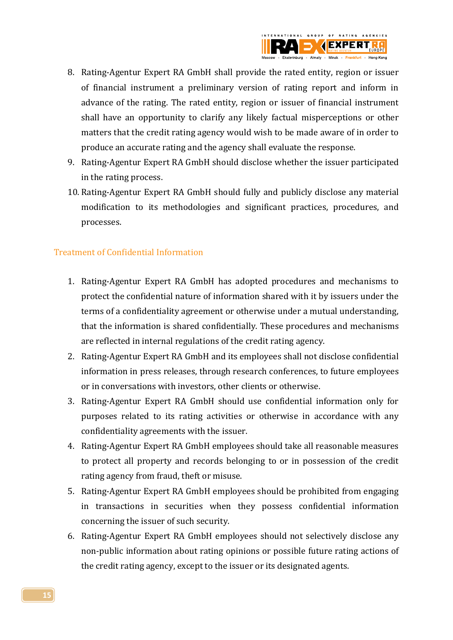

- 8. Rating-Agentur Expert RA GmbH shall provide the rated entity, region or issuer of financial instrument a preliminary version of rating report and inform in advance of the rating. The rated entity, region or issuer of financial instrument shall have an opportunity to clarify any likely factual misperceptions or other matters that the credit rating agency would wish to be made aware of in order to produce an accurate rating and the agency shall evaluate the response.
- 9. Rating-Agentur Expert RA GmbH should disclose whether the issuer participated in the rating process.
- 10. Rating-Agentur Expert RA GmbH should fully and publicly disclose any material modification to its methodologies and significant practices, procedures, and processes.

### <span id="page-14-0"></span>Treatment of Confidential Information

- 1. Rating-Agentur Expert RA GmbH has adopted procedures and mechanisms to protect the confidential nature of information shared with it by issuers under the terms of a confidentiality agreement or otherwise under a mutual understanding, that the information is shared confidentially. These procedures and mechanisms are reflected in internal regulations of the credit rating agency.
- 2. Rating-Agentur Expert RA GmbH and its employees shall not disclose confidential information in press releases, through research conferences, to future employees or in conversations with investors, other clients or otherwise.
- 3. Rating-Agentur Expert RA GmbH should use confidential information only for purposes related to its rating activities or otherwise in accordance with any confidentiality agreements with the issuer.
- 4. Rating-Agentur Expert RA GmbH employees should take all reasonable measures to protect all property and records belonging to or in possession of the credit rating agency from fraud, theft or misuse.
- 5. Rating-Agentur Expert RA GmbH employees should be prohibited from engaging in transactions in securities when they possess confidential information concerning the issuer of such security.
- 6. Rating-Agentur Expert RA GmbH employees should not selectively disclose any non-public information about rating opinions or possible future rating actions of the credit rating agency, except to the issuer or its designated agents.